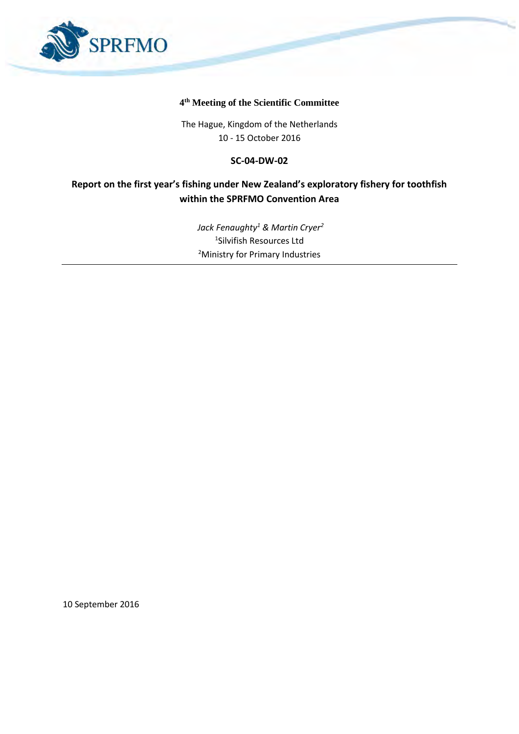

#### **4 th Meeting of the Scientific Committee**

The Hague, Kingdom of the Netherlands 10 - 15 October 2016

#### **SC-04-DW-02**

### **Report on the first year's fishing under New Zealand's exploratory fishery for toothfish within the SPRFMO Convention Area**

*Jack Fenaughty<sup>1</sup> & Martin Cryer<sup>2</sup>* 1 Silvifish Resources Ltd <sup>2</sup>Ministry for Primary Industries

10 September 2016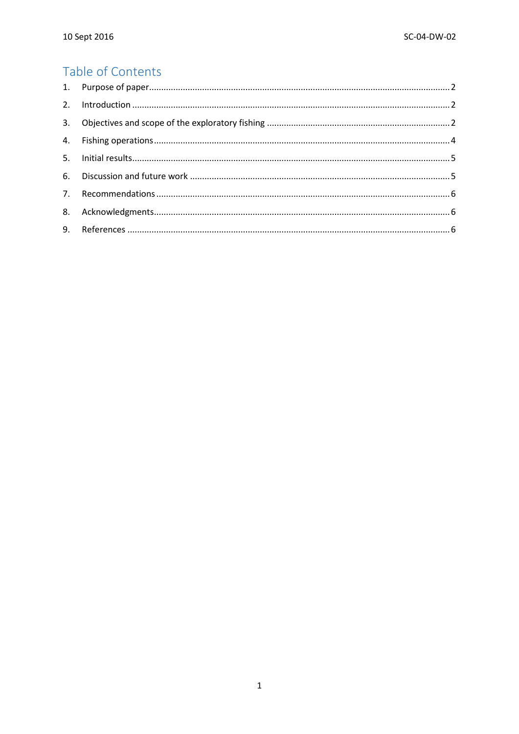## Table of Contents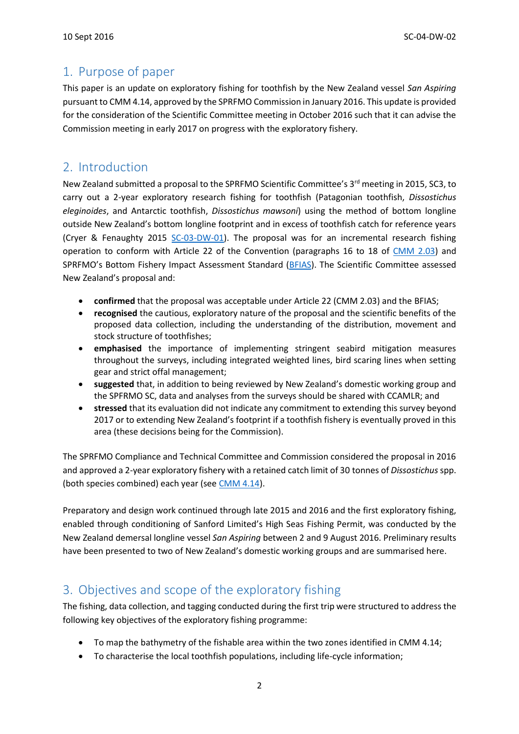### <span id="page-2-0"></span>1. Purpose of paper

This paper is an update on exploratory fishing for toothfish by the New Zealand vessel *San Aspiring* pursuant to CMM 4.14, approved by the SPRFMO Commission in January 2016. This update is provided for the consideration of the Scientific Committee meeting in October 2016 such that it can advise the Commission meeting in early 2017 on progress with the exploratory fishery.

### <span id="page-2-1"></span>2. Introduction

New Zealand submitted a proposal to the SPRFMO Scientific Committee's 3<sup>rd</sup> meeting in 2015, SC3, to carry out a 2-year exploratory research fishing for toothfish (Patagonian toothfish, *Dissostichus eleginoides*, and Antarctic toothfish, *Dissostichus mawsoni*) using the method of bottom longline outside New Zealand's bottom longline footprint and in excess of toothfish catch for reference years (Cryer & Fenaughty 2015 [SC-03-DW-01\)](http://www.sprfmo.int/assets/Meetings/Meetings-2013-plus/SC-Meetings/3rd-SC-Meeting-2015/Papers/SC-03-DW-01-rev2-New-Zealand-Proposal-to-conduct-exploratory-bottom-longlining.pdf). The proposal was for an incremental research fishing operation to conform with Article 22 of the Convention (paragraphs 16 to 18 of [CMM 2.03\)](http://www.sprfmo.int/assets/Meetings/Meetings-2013-plus/Commission-Meetings/2nd-Commission-Meeting-2014-Manta-Ecuador/Annex-M-CMM-2.03-CMM-for-Bottom-Fishing.pdf) and SPRFMO's Bottom Fishery Impact Assessment Standard ([BFIAS\)](http://www.sprfmo.int/assets/Meetings/Meetings-before-2013/Scientific-Working-Group/SWG-06-2008/a-Miscellaneous-Documents/SPRFMO-Bottom-Fishing-Impact-Assessment-Standardagreed-Vanuatu-Fri23Sep2011-1140am.pdf). The Scientific Committee assessed New Zealand's proposal and:

- **confirmed** that the proposal was acceptable under Article 22 (CMM 2.03) and the BFIAS;
- **recognised** the cautious, exploratory nature of the proposal and the scientific benefits of the proposed data collection, including the understanding of the distribution, movement and stock structure of toothfishes;
- **emphasised** the importance of implementing stringent seabird mitigation measures throughout the surveys, including integrated weighted lines, bird scaring lines when setting gear and strict offal management;
- **suggested** that, in addition to being reviewed by New Zealand's domestic working group and the SPFRMO SC, data and analyses from the surveys should be shared with CCAMLR; and
- **stressed** that its evaluation did not indicate any commitment to extending this survey beyond 2017 or to extending New Zealand's footprint if a toothfish fishery is eventually proved in this area (these decisions being for the Commission).

The SPRFMO Compliance and Technical Committee and Commission considered the proposal in 2016 and approved a 2-year exploratory fishery with a retained catch limit of 30 tonnes of *Dissostichus* spp. (both species combined) each year (see [CMM](http://www.sprfmo.int/assets/Fisheries/Conservation-and-Management-Measures/CMM-4.14-Exploratory-Toothfish-Fishing-2016-4Mar2016.pdf) 4.14).

Preparatory and design work continued through late 2015 and 2016 and the first exploratory fishing, enabled through conditioning of Sanford Limited's High Seas Fishing Permit, was conducted by the New Zealand demersal longline vessel *San Aspiring* between 2 and 9 August 2016. Preliminary results have been presented to two of New Zealand's domestic working groups and are summarised here.

# <span id="page-2-2"></span>3. Objectives and scope of the exploratory fishing

The fishing, data collection, and tagging conducted during the first trip were structured to address the following key objectives of the exploratory fishing programme:

- To map the bathymetry of the fishable area within the two zones identified in CMM 4.14;
- To characterise the local toothfish populations, including life-cycle information;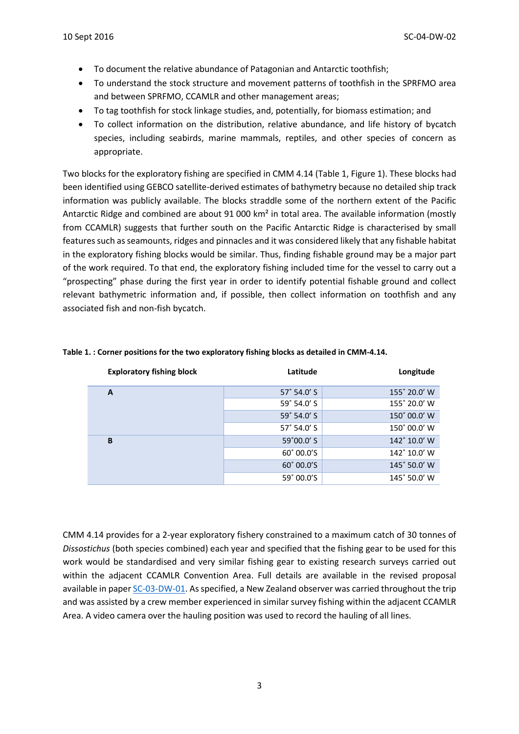- To document the relative abundance of Patagonian and Antarctic toothfish;
- To understand the stock structure and movement patterns of toothfish in the SPRFMO area and between SPRFMO, CCAMLR and other management areas;
- To tag toothfish for stock linkage studies, and, potentially, for biomass estimation; and
- To collect information on the distribution, relative abundance, and life history of bycatch species, including seabirds, marine mammals, reptiles, and other species of concern as appropriate.

Two blocks for the exploratory fishing are specified in CMM 4.14 (Table 1, Figure 1). These blocks had been identified using GEBCO satellite-derived estimates of bathymetry because no detailed ship track information was publicly available. The blocks straddle some of the northern extent of the Pacific Antarctic Ridge and combined are about 91 000 km<sup>2</sup> in total area. The available information (mostly from CCAMLR) suggests that further south on the Pacific Antarctic Ridge is characterised by small features such as seamounts, ridges and pinnacles and it was considered likely that any fishable habitat in the exploratory fishing blocks would be similar. Thus, finding fishable ground may be a major part of the work required. To that end, the exploratory fishing included time for the vessel to carry out a "prospecting" phase during the first year in order to identify potential fishable ground and collect relevant bathymetric information and, if possible, then collect information on toothfish and any associated fish and non-fish bycatch.

| <b>Exploratory fishing block</b> | Latitude            | Longitude    |
|----------------------------------|---------------------|--------------|
| A                                | $57^\circ$ 54.0' S  | 155° 20.0' W |
|                                  | $59^\circ 54.0' S$  | 155° 20.0' W |
|                                  | 59° 54.0' S         | 150° 00.0' W |
|                                  | $57^\circ$ 54.0' S  | 150° 00.0' W |
| B                                | $59^{\circ}00.0'$ S | 142° 10.0' W |
|                                  | $60^{\circ}$ 00.0'S | 142° 10.0' W |
|                                  | 60° 00.0'S          | 145° 50.0' W |
|                                  | 59° 00.0'S          | 145° 50.0' W |

#### **Table 1. : Corner positions for the two exploratory fishing blocks as detailed in CMM-4.14.**

CMM 4.14 provides for a 2-year exploratory fishery constrained to a maximum catch of 30 tonnes of *Dissostichus* (both species combined) each year and specified that the fishing gear to be used for this work would be standardised and very similar fishing gear to existing research surveys carried out within the adjacent CCAMLR Convention Area. Full details are available in the revised proposal available in pape[r SC-03-DW-01.](http://www.sprfmo.int/assets/Meetings/Meetings-2013-plus/SC-Meetings/3rd-SC-Meeting-2015/Papers/SC-03-DW-01-rev2-New-Zealand-Proposal-to-conduct-exploratory-bottom-longlining.pdf) As specified, a New Zealand observer was carried throughout the trip and was assisted by a crew member experienced in similar survey fishing within the adjacent CCAMLR Area. A video camera over the hauling position was used to record the hauling of all lines.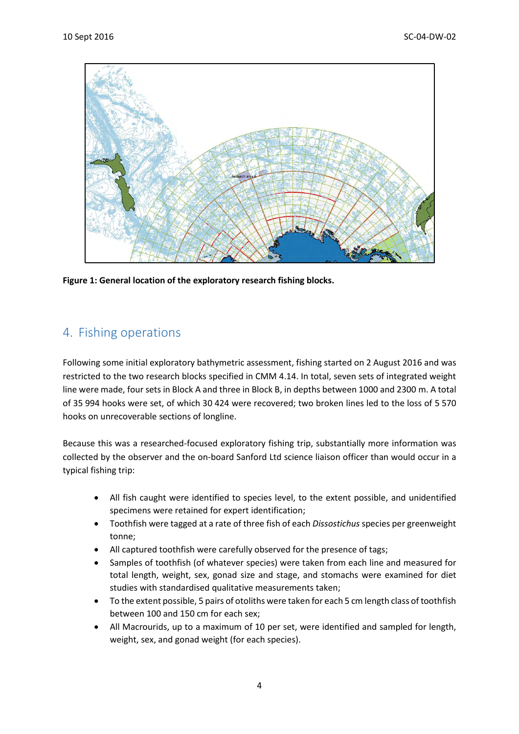

**Figure 1: General location of the exploratory research fishing blocks.**

### <span id="page-4-0"></span>4. Fishing operations

Following some initial exploratory bathymetric assessment, fishing started on 2 August 2016 and was restricted to the two research blocks specified in CMM 4.14. In total, seven sets of integrated weight line were made, four sets in Block A and three in Block B, in depths between 1000 and 2300 m. A total of 35 994 hooks were set, of which 30 424 were recovered; two broken lines led to the loss of 5 570 hooks on unrecoverable sections of longline.

Because this was a researched-focused exploratory fishing trip, substantially more information was collected by the observer and the on-board Sanford Ltd science liaison officer than would occur in a typical fishing trip:

- All fish caught were identified to species level, to the extent possible, and unidentified specimens were retained for expert identification;
- Toothfish were tagged at a rate of three fish of each *Dissostichus* species per greenweight tonne;
- All captured toothfish were carefully observed for the presence of tags;
- Samples of toothfish (of whatever species) were taken from each line and measured for total length, weight, sex, gonad size and stage, and stomachs were examined for diet studies with standardised qualitative measurements taken;
- To the extent possible, 5 pairs of otoliths were taken for each 5 cm length class of toothfish between 100 and 150 cm for each sex;
- All Macrourids, up to a maximum of 10 per set, were identified and sampled for length, weight, sex, and gonad weight (for each species).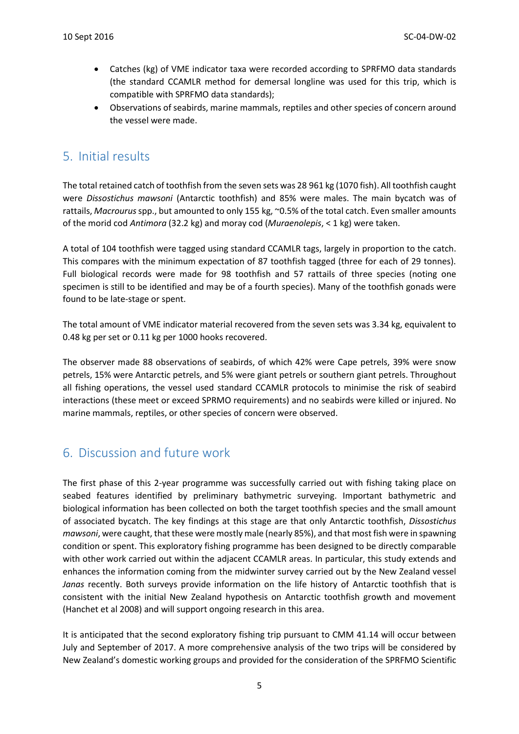- Catches (kg) of VME indicator taxa were recorded according to SPRFMO data standards (the standard CCAMLR method for demersal longline was used for this trip, which is compatible with SPRFMO data standards);
- Observations of seabirds, marine mammals, reptiles and other species of concern around the vessel were made.

### <span id="page-5-0"></span>5. Initial results

The total retained catch of toothfish from the seven sets was 28 961 kg (1070 fish). All toothfish caught were *Dissostichus mawsoni* (Antarctic toothfish) and 85% were males. The main bycatch was of rattails, *Macrourus*spp., but amounted to only 155 kg, ~0.5% of the total catch. Even smaller amounts of the morid cod *Antimora* (32.2 kg) and moray cod (*Muraenolepis*, < 1 kg) were taken.

A total of 104 toothfish were tagged using standard CCAMLR tags, largely in proportion to the catch. This compares with the minimum expectation of 87 toothfish tagged (three for each of 29 tonnes). Full biological records were made for 98 toothfish and 57 rattails of three species (noting one specimen is still to be identified and may be of a fourth species). Many of the toothfish gonads were found to be late-stage or spent.

The total amount of VME indicator material recovered from the seven sets was 3.34 kg, equivalent to 0.48 kg per set or 0.11 kg per 1000 hooks recovered.

The observer made 88 observations of seabirds, of which 42% were Cape petrels, 39% were snow petrels, 15% were Antarctic petrels, and 5% were giant petrels or southern giant petrels. Throughout all fishing operations, the vessel used standard CCAMLR protocols to minimise the risk of seabird interactions (these meet or exceed SPRMO requirements) and no seabirds were killed or injured. No marine mammals, reptiles, or other species of concern were observed.

### <span id="page-5-1"></span>6. Discussion and future work

The first phase of this 2-year programme was successfully carried out with fishing taking place on seabed features identified by preliminary bathymetric surveying. Important bathymetric and biological information has been collected on both the target toothfish species and the small amount of associated bycatch. The key findings at this stage are that only Antarctic toothfish, *Dissostichus mawsoni*, were caught, that these were mostly male (nearly 85%), and that most fish were in spawning condition or spent. This exploratory fishing programme has been designed to be directly comparable with other work carried out within the adjacent CCAMLR areas. In particular, this study extends and enhances the information coming from the midwinter survey carried out by the New Zealand vessel *Janas* recently. Both surveys provide information on the life history of Antarctic toothfish that is consistent with the initial New Zealand hypothesis on Antarctic toothfish growth and movement (Hanchet et al 2008) and will support ongoing research in this area.

It is anticipated that the second exploratory fishing trip pursuant to CMM 41.14 will occur between July and September of 2017. A more comprehensive analysis of the two trips will be considered by New Zealand's domestic working groups and provided for the consideration of the SPRFMO Scientific